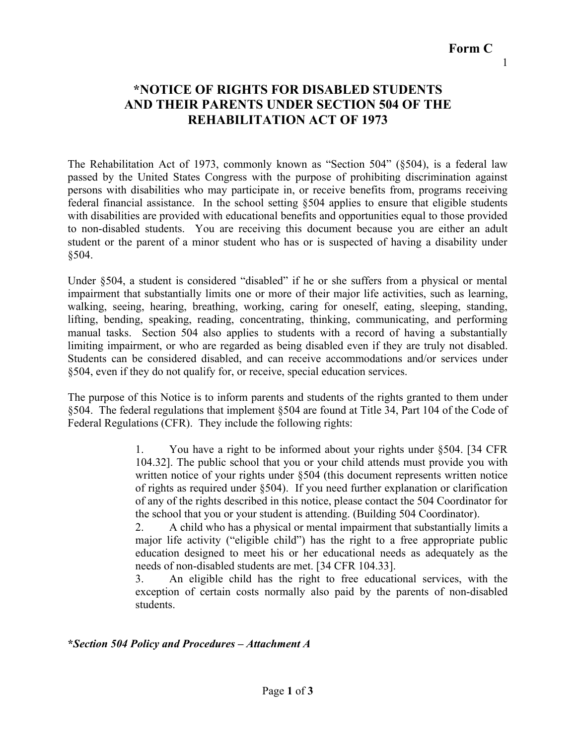# **Form C**

1

### **\*NOTICE OF RIGHTS FOR DISABLED STUDENTS AND THEIR PARENTS UNDER SECTION 504 OF THE REHABILITATION ACT OF 1973**

The Rehabilitation Act of 1973, commonly known as "Section 504" (§504), is a federal law passed by the United States Congress with the purpose of prohibiting discrimination against persons with disabilities who may participate in, or receive benefits from, programs receiving federal financial assistance. In the school setting §504 applies to ensure that eligible students with disabilities are provided with educational benefits and opportunities equal to those provided to non-disabled students. You are receiving this document because you are either an adult student or the parent of a minor student who has or is suspected of having a disability under §504.

Under §504, a student is considered "disabled" if he or she suffers from a physical or mental impairment that substantially limits one or more of their major life activities, such as learning, walking, seeing, hearing, breathing, working, caring for oneself, eating, sleeping, standing, lifting, bending, speaking, reading, concentrating, thinking, communicating, and performing manual tasks. Section 504 also applies to students with a record of having a substantially limiting impairment, or who are regarded as being disabled even if they are truly not disabled. Students can be considered disabled, and can receive accommodations and/or services under §504, even if they do not qualify for, or receive, special education services.

The purpose of this Notice is to inform parents and students of the rights granted to them under §504. The federal regulations that implement §504 are found at Title 34, Part 104 of the Code of Federal Regulations (CFR). They include the following rights:

> 1. You have a right to be informed about your rights under §504. [34 CFR 104.32]. The public school that you or your child attends must provide you with written notice of your rights under §504 (this document represents written notice of rights as required under §504). If you need further explanation or clarification of any of the rights described in this notice, please contact the 504 Coordinator for the school that you or your student is attending. (Building 504 Coordinator).

> 2. A child who has a physical or mental impairment that substantially limits a major life activity ("eligible child") has the right to a free appropriate public education designed to meet his or her educational needs as adequately as the needs of non-disabled students are met. [34 CFR 104.33].

> 3. An eligible child has the right to free educational services, with the exception of certain costs normally also paid by the parents of non-disabled students.

#### **\****Section 504 Policy and Procedures – Attachment A*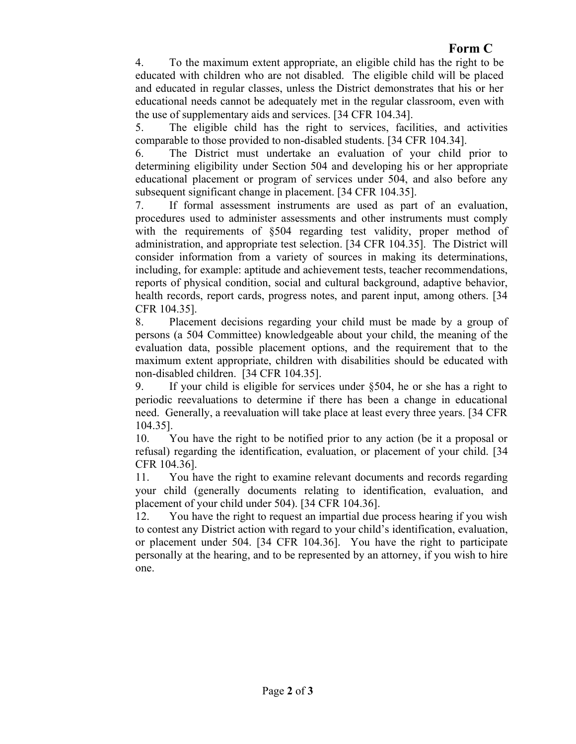## **Form C**

4. To the maximum extent appropriate, an eligible child has the right to be educated with children who are not disabled. The eligible child will be placed and educated in regular classes, unless the District demonstrates that his or her educational needs cannot be adequately met in the regular classroom, even with the use of supplementary aids and services. [34 CFR 104.34].

5. The eligible child has the right to services, facilities, and activities comparable to those provided to non-disabled students. [34 CFR 104.34].

6. The District must undertake an evaluation of your child prior to determining eligibility under Section 504 and developing his or her appropriate educational placement or program of services under 504, and also before any subsequent significant change in placement. [34 CFR 104.35].

7. If formal assessment instruments are used as part of an evaluation, procedures used to administer assessments and other instruments must comply with the requirements of §504 regarding test validity, proper method of administration, and appropriate test selection. [34 CFR 104.35]. The District will consider information from a variety of sources in making its determinations, including, for example: aptitude and achievement tests, teacher recommendations, reports of physical condition, social and cultural background, adaptive behavior, health records, report cards, progress notes, and parent input, among others. [34 CFR 104.35].

8. Placement decisions regarding your child must be made by a group of persons (a 504 Committee) knowledgeable about your child, the meaning of the evaluation data, possible placement options, and the requirement that to the maximum extent appropriate, children with disabilities should be educated with non-disabled children. [34 CFR 104.35].

9. If your child is eligible for services under §504, he or she has a right to periodic reevaluations to determine if there has been a change in educational need. Generally, a reevaluation will take place at least every three years. [34 CFR 104.35].

10. You have the right to be notified prior to any action (be it a proposal or refusal) regarding the identification, evaluation, or placement of your child. [34 CFR 104.36].

11. You have the right to examine relevant documents and records regarding your child (generally documents relating to identification, evaluation, and placement of your child under 504). [34 CFR 104.36].

12. You have the right to request an impartial due process hearing if you wish to contest any District action with regard to your child's identification, evaluation, or placement under 504. [34 CFR 104.36]. You have the right to participate personally at the hearing, and to be represented by an attorney, if you wish to hire one.